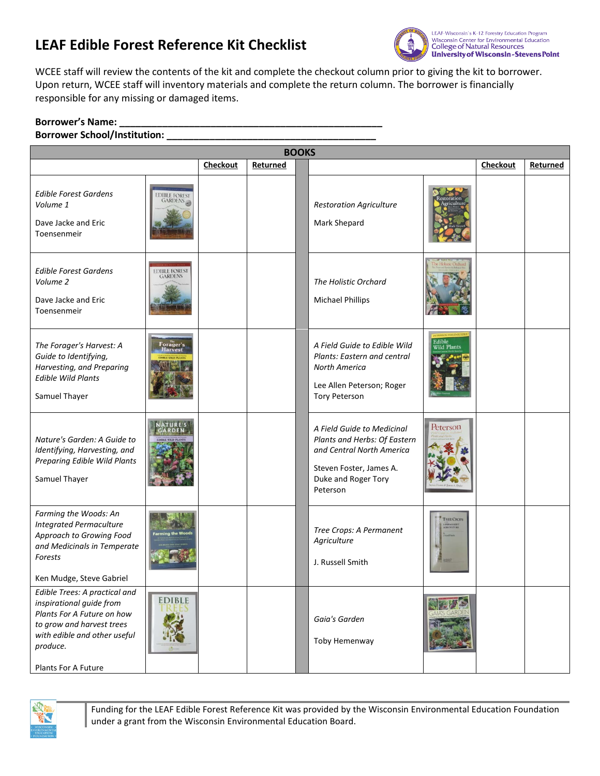## **LEAF Edible Forest Reference Kit Checklist**



WCEE staff will review the contents of the kit and complete the checkout column prior to giving the kit to borrower. Upon return, WCEE staff will inventory materials and complete the return column. The borrower is financially responsible for any missing or damaged items.

## **Borrower's Name: \_\_\_\_\_\_\_\_\_\_\_\_\_\_\_\_\_\_\_\_\_\_\_\_\_\_\_\_\_\_\_\_\_\_\_\_\_\_\_\_\_\_\_\_\_\_\_\_\_**

## **Borrower School/Institution: \_\_\_\_\_\_\_\_\_\_\_\_\_\_\_\_\_\_\_\_\_\_\_\_\_\_\_\_\_\_\_\_\_\_\_\_\_\_\_**

| <b>BOOKS</b>                                                                                                                                                                            |                          |                 |          |  |                                                                                                                                                       |                                                           |                 |          |
|-----------------------------------------------------------------------------------------------------------------------------------------------------------------------------------------|--------------------------|-----------------|----------|--|-------------------------------------------------------------------------------------------------------------------------------------------------------|-----------------------------------------------------------|-----------------|----------|
|                                                                                                                                                                                         |                          | <b>Checkout</b> | Returned |  |                                                                                                                                                       |                                                           | <b>Checkout</b> | Returned |
| Edible Forest Gardens<br>Volume 1<br>Dave Jacke and Eric<br>Toensenmeir                                                                                                                 | EDIBLE FOREST<br>GARDENS |                 |          |  | <b>Restoration Agriculture</b><br>Mark Shepard                                                                                                        |                                                           |                 |          |
| <b>Edible Forest Gardens</b><br>Volume 2<br>Dave Jacke and Eric<br>Toensenmeir                                                                                                          | EDIBLE FOREST<br>GARDENS |                 |          |  | The Holistic Orchard<br><b>Michael Phillips</b>                                                                                                       |                                                           |                 |          |
| The Forager's Harvest: A<br>Guide to Identifying,<br>Harvesting, and Preparing<br><b>Edible Wild Plants</b><br>Samuel Thayer                                                            | Forager's                |                 |          |  | A Field Guide to Edible Wild<br>Plants: Eastern and central<br><b>North America</b><br>Lee Allen Peterson; Roger<br><b>Tory Peterson</b>              | Edible<br><b>Wild Plants</b>                              |                 |          |
| Nature's Garden: A Guide to<br>Identifying, Harvesting, and<br>Preparing Edible Wild Plants<br>Samuel Thayer                                                                            |                          |                 |          |  | A Field Guide to Medicinal<br>Plants and Herbs: Of Eastern<br>and Central North America<br>Steven Foster, James A.<br>Duke and Roger Tory<br>Peterson | Peterson                                                  |                 |          |
| Farming the Woods: An<br><b>Integrated Permaculture</b><br>Approach to Growing Food<br>and Medicinals in Temperate<br>Forests<br>Ken Mudge, Steve Gabriel                               | <b>Farming the Wood</b>  |                 |          |  | Tree Crops: A Permanent<br>Agriculture<br>J. Russell Smith                                                                                            | <b>TREE CROPS</b><br><b><i>VERMANENT</i></b><br>VÆKULTURE |                 |          |
| Edible Trees: A practical and<br>inspirational guide from<br>Plants For A Future on how<br>to grow and harvest trees<br>with edible and other useful<br>produce.<br>Plants For A Future | <b>EDIBLE</b>            |                 |          |  | Gaia's Garden<br>Toby Hemenway                                                                                                                        |                                                           |                 |          |



Funding for the LEAF Edible Forest Reference Kit was provided by the Wisconsin Environmental Education Foundation under a grant from the Wisconsin Environmental Education Board.